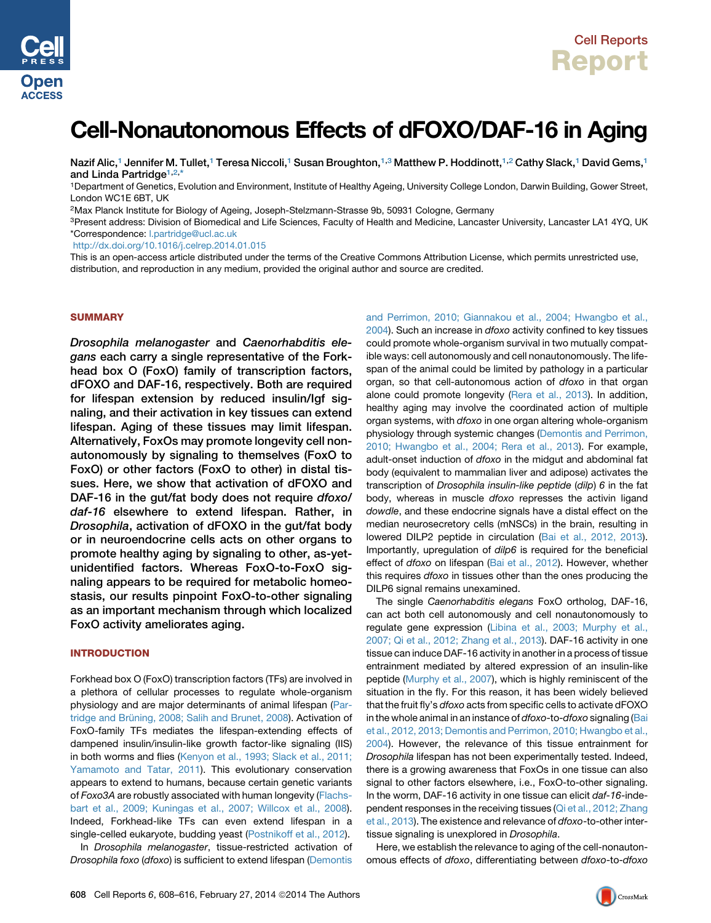

# Cell-Nonautonomous Effects of dFOXO/DAF-16 in Aging

Nazif Alic,<sup>1</sup> Jennifer M. Tullet,<sup>1</sup> Teresa Niccoli,<sup>1</sup> Susan Broughton,<sup>1,3</sup> Matthew P. Hoddinott,<sup>1,2</sup> Cathy Slack,<sup>1</sup> David Gems,<sup>1</sup> and Linda Partridge<sup>1,2,\*</sup>

1Department of Genetics, Evolution and Environment, Institute of Healthy Ageing, University College London, Darwin Building, Gower Street, London WC1E 6BT, UK

2Max Planck Institute for Biology of Ageing, Joseph-Stelzmann-Strasse 9b, 50931 Cologne, Germany

<sup>3</sup>Present address: Division of Biomedical and Life Sciences, Faculty of Health and Medicine, Lancaster University, Lancaster LA1 4YQ, UK \*Correspondence: [l.partridge@ucl.ac.uk](mailto:l.partridge@ucl.ac.uk)

<http://dx.doi.org/10.1016/j.celrep.2014.01.015>

This is an open-access article distributed under the terms of the Creative Commons Attribution License, which permits unrestricted use, distribution, and reproduction in any medium, provided the original author and source are credited.

## **SUMMARY**

Drosophila melanogaster and Caenorhabditis elegans each carry a single representative of the Forkhead box O (FoxO) family of transcription factors, dFOXO and DAF-16, respectively. Both are required for lifespan extension by reduced insulin/Igf signaling, and their activation in key tissues can extend lifespan. Aging of these tissues may limit lifespan. Alternatively, FoxOs may promote longevity cell nonautonomously by signaling to themselves (FoxO to FoxO) or other factors (FoxO to other) in distal tissues. Here, we show that activation of dFOXO and DAF-16 in the gut/fat body does not require dfoxo/ daf-16 elsewhere to extend lifespan. Rather, in Drosophila, activation of dFOXO in the gut/fat body or in neuroendocrine cells acts on other organs to promote healthy aging by signaling to other, as-yetunidentified factors. Whereas FoxO-to-FoxO signaling appears to be required for metabolic homeostasis, our results pinpoint FoxO-to-other signaling as an important mechanism through which localized FoxO activity ameliorates aging.

# INTRODUCTION

Forkhead box O (FoxO) transcription factors (TFs) are involved in a plethora of cellular processes to regulate whole-organism physiology and are major determinants of animal lifespan ([Par](#page-8-0)tridge and Brü[ning, 2008; Salih and Brunet, 2008\)](#page-8-0). Activation of FoxO-family TFs mediates the lifespan-extending effects of dampened insulin/insulin-like growth factor-like signaling (IIS) in both worms and flies [\(Kenyon et al., 1993; Slack et al., 2011;](#page-8-0) [Yamamoto and Tatar, 2011](#page-8-0)). This evolutionary conservation appears to extend to humans, because certain genetic variants of *Foxo3A* are robustly associated with human longevity ([Flachs](#page-8-0)[bart et al., 2009; Kuningas et al., 2007; Willcox et al., 2008](#page-8-0)). Indeed, Forkhead-like TFs can even extend lifespan in a single-celled eukaryote, budding yeast ([Postnikoff et al., 2012\)](#page-8-0).

In *Drosophila melanogaster*, tissue-restricted activation of *Drosophila foxo* (*dfoxo*) is sufficient to extend lifespan ([Demontis](#page-8-0)

[and Perrimon, 2010; Giannakou et al., 2004; Hwangbo et al.,](#page-8-0) [2004\)](#page-8-0). Such an increase in *dfoxo* activity confined to key tissues could promote whole-organism survival in two mutually compatible ways: cell autonomously and cell nonautonomously. The lifespan of the animal could be limited by pathology in a particular organ, so that cell-autonomous action of *dfoxo* in that organ alone could promote longevity ([Rera et al., 2013\)](#page-8-0). In addition, healthy aging may involve the coordinated action of multiple organ systems, with *dfoxo* in one organ altering whole-organism physiology through systemic changes [\(Demontis and Perrimon,](#page-8-0) [2010; Hwangbo et al., 2004; Rera et al., 2013](#page-8-0)). For example, adult-onset induction of *dfoxo* in the midgut and abdominal fat body (equivalent to mammalian liver and adipose) activates the transcription of *Drosophila insulin-like peptide* (*dilp*) *6* in the fat body, whereas in muscle *dfoxo* represses the activin ligand *dowdle*, and these endocrine signals have a distal effect on the median neurosecretory cells (mNSCs) in the brain, resulting in lowered DILP2 peptide in circulation ([Bai et al., 2012, 2013](#page-8-0)). Importantly, upregulation of *dilp6* is required for the beneficial effect of *dfoxo* on lifespan ([Bai et al., 2012](#page-8-0)). However, whether this requires *dfoxo* in tissues other than the ones producing the DILP6 signal remains unexamined.

The single *Caenorhabditis elegans* FoxO ortholog, DAF-16, can act both cell autonomously and cell nonautonomously to regulate gene expression ([Libina et al., 2003; Murphy et al.,](#page-8-0) [2007; Qi et al., 2012; Zhang et al., 2013\)](#page-8-0). DAF-16 activity in one tissue can induce DAF-16 activity in another in a process of tissue entrainment mediated by altered expression of an insulin-like peptide [\(Murphy et al., 2007](#page-8-0)), which is highly reminiscent of the situation in the fly. For this reason, it has been widely believed that the fruit fly's *dfoxo* acts from specific cells to activate dFOXO in the whole animal in an instance of *dfoxo*-to-*dfoxo* signaling ([Bai](#page-8-0) [et al., 2012, 2013; Demontis and Perrimon, 2010; Hwangbo et al.,](#page-8-0) [2004\)](#page-8-0). However, the relevance of this tissue entrainment for *Drosophila* lifespan has not been experimentally tested. Indeed, there is a growing awareness that FoxOs in one tissue can also signal to other factors elsewhere, i.e., FoxO-to-other signaling. In the worm, DAF-16 activity in one tissue can elicit *daf-16*-inde-pendent responses in the receiving tissues ([Qi et al., 2012; Zhang](#page-8-0) [et al., 2013](#page-8-0)). The existence and relevance of *dfoxo*-to-other intertissue signaling is unexplored in *Drosophila*.

Here, we establish the relevance to aging of the cell-nonautonomous effects of *dfoxo*, differentiating between *dfoxo*-to-*dfoxo*

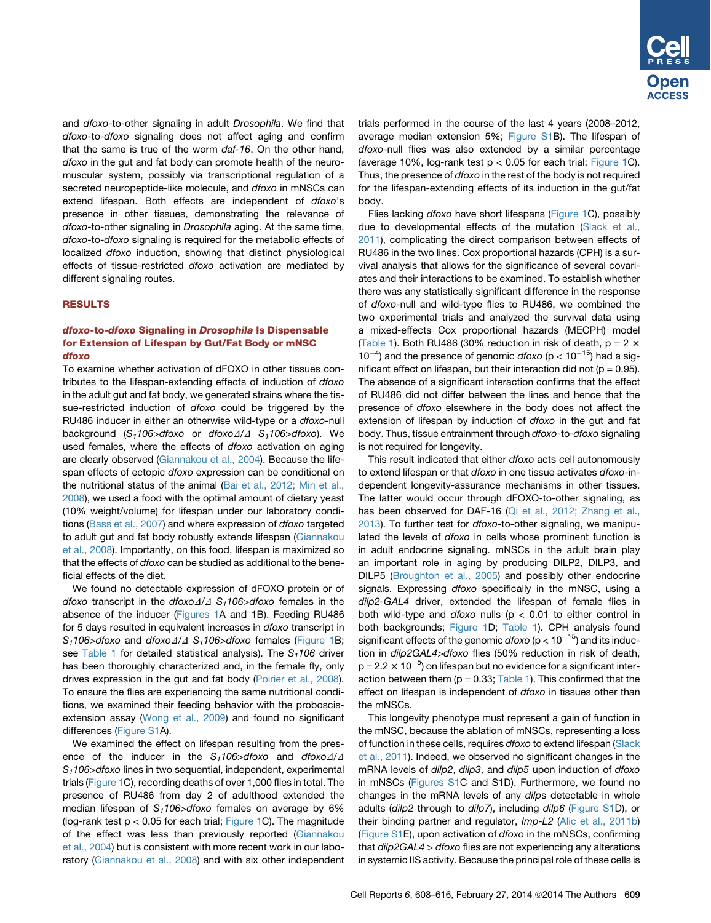and *dfoxo*-to-other signaling in adult *Drosophila*. We find that *dfoxo*-to-*dfoxo* signaling does not affect aging and confirm that the same is true of the worm *daf-16*. On the other hand, *dfoxo* in the gut and fat body can promote health of the neuromuscular system, possibly via transcriptional regulation of a secreted neuropeptide-like molecule, and *dfoxo* in mNSCs can extend lifespan. Both effects are independent of *dfoxo*'s presence in other tissues, demonstrating the relevance of *dfoxo*-to-other signaling in *Drosophila* aging. At the same time, *dfoxo*-to-*dfoxo* signaling is required for the metabolic effects of localized *dfoxo* induction, showing that distinct physiological effects of tissue-restricted *dfoxo* activation are mediated by different signaling routes.

## RESULTS

# dfoxo-to-dfoxo Signaling in Drosophila Is Dispensable for Extension of Lifespan by Gut/Fat Body or mNSC dfoxo

To examine whether activation of dFOXO in other tissues contributes to the lifespan-extending effects of induction of *dfoxo* in the adult gut and fat body, we generated strains where the tissue-restricted induction of *dfoxo* could be triggered by the RU486 inducer in either an otherwise wild-type or a *dfoxo*-null background (S<sub>1</sub>106>dfoxo or *dfoxo* $\Delta/\Delta$  S<sub>1</sub>106>dfoxo). We used females, where the effects of *dfoxo* activation on aging are clearly observed [\(Giannakou et al., 2004\)](#page-8-0). Because the lifespan effects of ectopic *dfoxo* expression can be conditional on the nutritional status of the animal ([Bai et al., 2012; Min et al.,](#page-8-0) [2008\)](#page-8-0), we used a food with the optimal amount of dietary yeast (10% weight/volume) for lifespan under our laboratory conditions ([Bass et al., 2007](#page-8-0)) and where expression of *dfoxo* targeted to adult gut and fat body robustly extends lifespan [\(Giannakou](#page-8-0) [et al., 2008](#page-8-0)). Importantly, on this food, lifespan is maximized so that the effects of *dfoxo* can be studied as additional to the beneficial effects of the diet.

We found no detectable expression of dFOXO protein or of *dfoxo* transcript in the *dfoxo* $\Delta/\Delta$  *S<sub>1</sub>106>dfoxo* females in the absence of the inducer ([Figures 1](#page-2-0)A and 1B). Feeding RU486 for 5 days resulted in equivalent increases in *dfoxo* transcript in *S<sub>1</sub>106>dfoxo* and *dfoxo* $\Delta/\Delta$  *S<sub>1</sub>106>dfoxo* females [\(Figure 1B](#page-2-0); see [Table 1](#page-4-0) for detailed statistical analysis). The S<sub>1</sub>106 driver has been thoroughly characterized and, in the female fly, only drives expression in the gut and fat body [\(Poirier et al., 2008\)](#page-8-0). To ensure the flies are experiencing the same nutritional conditions, we examined their feeding behavior with the proboscisextension assay [\(Wong et al., 2009](#page-8-0)) and found no significant differences ([Figure S1A](#page-7-0)).

We examined the effect on lifespan resulting from the presence of the inducer in the  $S_1$ 106>dfoxo and *dfoxo* $\Delta/\Delta$ *S1106>dfoxo* lines in two sequential, independent, experimental trials ([Figure 1C](#page-2-0)), recording deaths of over 1,000 flies in total. The presence of RU486 from day 2 of adulthood extended the median lifespan of S<sub>1</sub>106>dfoxo females on average by 6% (log-rank test  $p < 0.05$  for each trial; [Figure 1](#page-2-0)C). The magnitude of the effect was less than previously reported [\(Giannakou](#page-8-0) [et al., 2004\)](#page-8-0) but is consistent with more recent work in our laboratory [\(Giannakou et al., 2008](#page-8-0)) and with six other independent trials performed in the course of the last 4 years (2008–2012, average median extension 5%; [Figure S1](#page-7-0)B). The lifespan of *dfoxo*-null flies was also extended by a similar percentage (average 10%, log-rank test  $p < 0.05$  for each trial; [Figure 1C](#page-2-0)). Thus, the presence of *dfoxo* in the rest of the body is not required for the lifespan-extending effects of its induction in the gut/fat body.

Flies lacking *dfoxo* have short lifespans [\(Figure 1C](#page-2-0)), possibly due to developmental effects of the mutation ([Slack et al.,](#page-8-0) [2011\)](#page-8-0), complicating the direct comparison between effects of RU486 in the two lines. Cox proportional hazards (CPH) is a survival analysis that allows for the significance of several covariates and their interactions to be examined. To establish whether there was any statistically significant difference in the response of *dfoxo*-null and wild-type flies to RU486, we combined the two experimental trials and analyzed the survival data using a mixed-effects Cox proportional hazards (MECPH) model [\(Table 1\)](#page-4-0). Both RU486 (30% reduction in risk of death,  $p = 2 \times$  $10^{-4}$ ) and the presence of genomic *dfoxo* (p <  $10^{-15}$ ) had a significant effect on lifespan, but their interaction did not ( $p = 0.95$ ). The absence of a significant interaction confirms that the effect of RU486 did not differ between the lines and hence that the presence of *dfoxo* elsewhere in the body does not affect the extension of lifespan by induction of *dfoxo* in the gut and fat body. Thus, tissue entrainment through *dfoxo*-to-*dfoxo* signaling is not required for longevity.

This result indicated that either *dfoxo* acts cell autonomously to extend lifespan or that *dfoxo* in one tissue activates *dfoxo*-independent longevity-assurance mechanisms in other tissues. The latter would occur through dFOXO-to-other signaling, as has been observed for DAF-16 [\(Qi et al., 2012; Zhang et al.,](#page-8-0) [2013\)](#page-8-0). To further test for *dfoxo*-to-other signaling, we manipulated the levels of *dfoxo* in cells whose prominent function is in adult endocrine signaling. mNSCs in the adult brain play an important role in aging by producing DILP2, DILP3, and DILP5 [\(Broughton et al., 2005](#page-8-0)) and possibly other endocrine signals. Expressing *dfoxo* specifically in the mNSC, using a *dilp2-GAL4* driver, extended the lifespan of female flies in both wild-type and *dfoxo* nulls (p < 0.01 to either control in both backgrounds; [Figure 1](#page-2-0)D; [Table 1\)](#page-4-0). CPH analysis found significant effects of the genomic  $df(x)$  ( $p < 10^{-15}$ ) and its induction in *dilp2GAL4>dfoxo* flies (50% reduction in risk of death,  $p = 2.2 \times 10^{-5}$ ) on lifespan but no evidence for a significant interaction between them ( $p = 0.33$ ; [Table 1](#page-4-0)). This confirmed that the effect on lifespan is independent of *dfoxo* in tissues other than the mNSCs.

This longevity phenotype must represent a gain of function in the mNSC, because the ablation of mNSCs, representing a loss of function in these cells, requires *dfoxo* to extend lifespan [\(Slack](#page-8-0) [et al., 2011](#page-8-0)). Indeed, we observed no significant changes in the mRNA levels of *dilp2*, *dilp3*, and *dilp5* upon induction of *dfoxo* in mNSCs ([Figures S1](#page-7-0)C and S1D). Furthermore, we found no changes in the mRNA levels of any *dilp*s detectable in whole adults (*dilp2* through to *dilp7*), including *dilp6* ([Figure S1D](#page-7-0)), or their binding partner and regulator, *Imp-L2* [\(Alic et al., 2011b](#page-8-0)) [\(Figure S1](#page-7-0)E), upon activation of *dfoxo* in the mNSCs, confirming that *dilp2GAL4 > dfoxo* flies are not experiencing any alterations in systemic IIS activity. Because the principal role of these cells is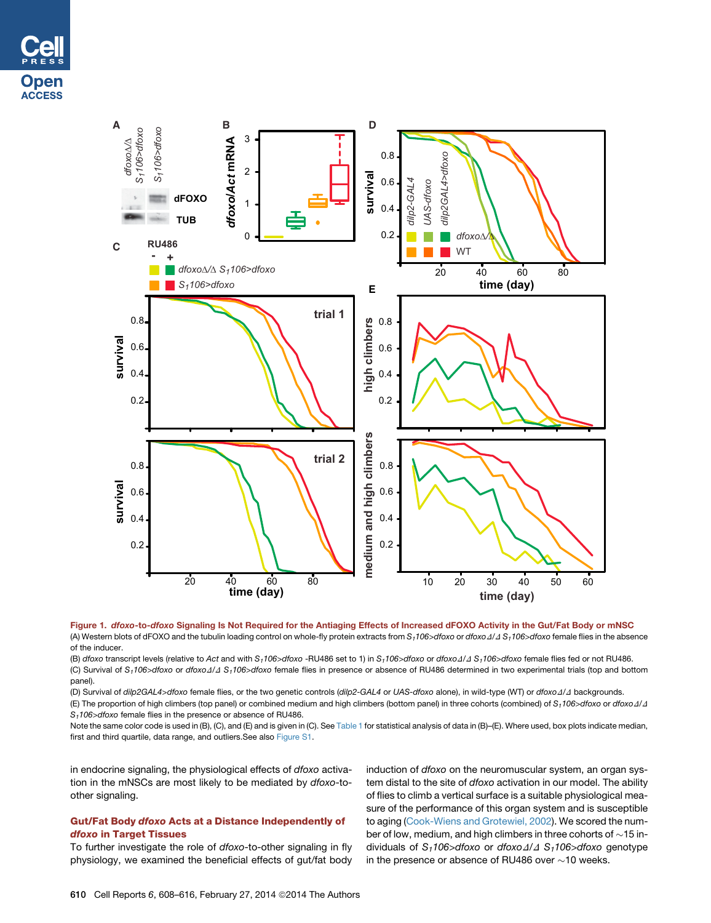<span id="page-2-0"></span>



Figure 1. dfoxo-to-dfoxo Signaling Is Not Required for the Antiaging Effects of Increased dFOXO Activity in the Gut/Fat Body or mNSC (A) Western blots of dFOXO and the tubulin loading control on whole-fly protein extracts from  $S_1106>d$ foxo or *dfoxo*  $\Delta/\Delta S_1106>d$ foxo female flies in the absence of the inducer.

(B) *dfoxo* transcript levels (relative to Act and with *S<sub>1</sub>106>dfoxo* -RU486 set to 1) in *S<sub>1</sub>106>dfoxo* or *dfoxo* ∆/ ∆ S<sub>1</sub>106>dfoxo female flies fed or not RU486. (C) Survival of S<sub>1</sub>106>dfoxo or dfoxo∆/∆ S<sub>1</sub>106>dfoxo female flies in presence or absence of RU486 determined in two experimental trials (top and bottom panel).

(D) Survival of *dilp2GAL4>dfoxo* female flies, or the two genetic controls (*dilp2-GAL4* or *UAS-dfoxo* alone), in wild-type (WT) or *dfoxo*D/D backgrounds.

(E) The proportion of high climbers (top panel) or combined medium and high climbers (bottom panel) in three cohorts (combined) of  $S_1106$  of  $S_2000$ *S1106>dfoxo* female flies in the presence or absence of RU486.

Note the same color code is used in (B), (C), and (E) and is given in (C). See [Table 1](#page-4-0) for statistical analysis of data in (B)–(E). Where used, box plots indicate median, first and third quartile, data range, and outliers.See also [Figure S1.](#page-7-0)

in endocrine signaling, the physiological effects of *dfoxo* activation in the mNSCs are most likely to be mediated by *dfoxo*-toother signaling.

# Gut/Fat Body dfoxo Acts at a Distance Independently of dfoxo in Target Tissues

To further investigate the role of *dfoxo*-to-other signaling in fly physiology, we examined the beneficial effects of gut/fat body

induction of *dfoxo* on the neuromuscular system, an organ system distal to the site of *dfoxo* activation in our model. The ability of flies to climb a vertical surface is a suitable physiological measure of the performance of this organ system and is susceptible to aging ([Cook-Wiens and Grotewiel, 2002](#page-8-0)). We scored the number of low, medium, and high climbers in three cohorts of  $\sim$ 15 individuals of S<sub>1</sub>106>dfoxo or *dfoxo*  $\Delta/\Delta$  S<sub>1</sub>106>dfoxo genotype in the presence or absence of RU486 over  $\sim$ 10 weeks.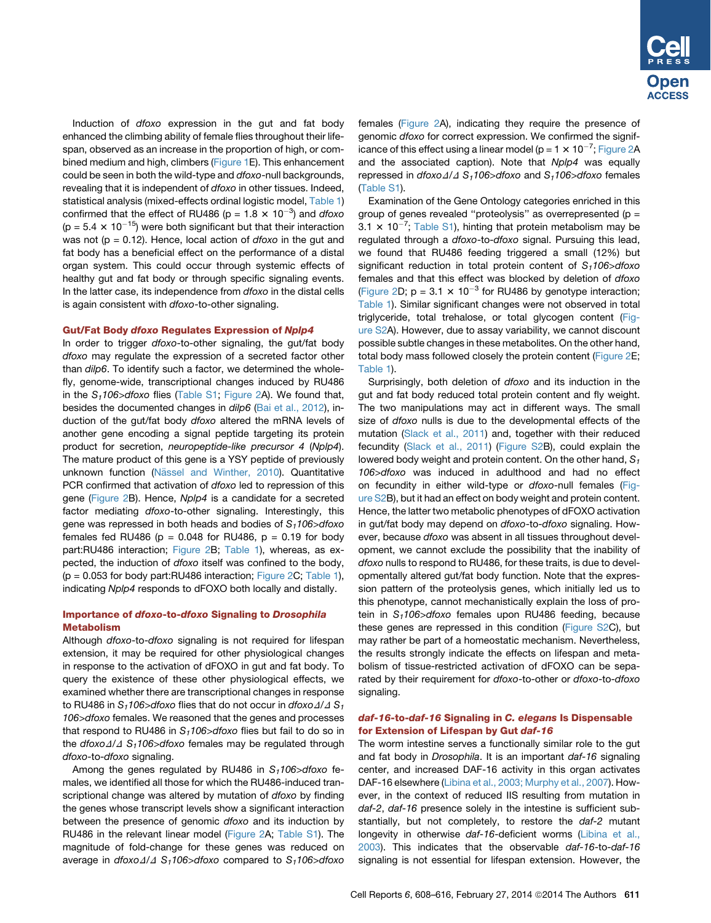Induction of *dfoxo* expression in the gut and fat body enhanced the climbing ability of female flies throughout their lifespan, observed as an increase in the proportion of high, or combined medium and high, climbers [\(Figure 1E](#page-2-0)). This enhancement could be seen in both the wild-type and *dfoxo*-null backgrounds, revealing that it is independent of *dfoxo* in other tissues. Indeed, statistical analysis (mixed-effects ordinal logistic model, [Table 1\)](#page-4-0) confirmed that the effect of RU486 ( $p = 1.8 \times 10^{-3}$ ) and *dfoxo* (p =  $5.4 \times 10^{-15}$ ) were both significant but that their interaction was not (p = 0.12). Hence, local action of *dfoxo* in the gut and fat body has a beneficial effect on the performance of a distal organ system. This could occur through systemic effects of healthy gut and fat body or through specific signaling events. In the latter case, its independence from *dfoxo* in the distal cells is again consistent with *dfoxo*-to-other signaling.

## Gut/Fat Body dfoxo Regulates Expression of Nplp4

In order to trigger *dfoxo*-to-other signaling, the gut/fat body *dfoxo* may regulate the expression of a secreted factor other than *dilp6*. To identify such a factor, we determined the wholefly, genome-wide, transcriptional changes induced by RU486 in the *S1106>dfoxo* flies (Table S1; [Figure 2A](#page-6-0)). We found that, besides the documented changes in *dilp6* ([Bai et al., 2012](#page-8-0)), induction of the gut/fat body *dfoxo* altered the mRNA levels of another gene encoding a signal peptide targeting its protein product for secretion, *neuropeptide-like precursor 4* (*Nplp4*). The mature product of this gene is a YSY peptide of previously unknown function (Nä[ssel and Winther, 2010\)](#page-8-0). Quantitative PCR confirmed that activation of *dfoxo* led to repression of this gene [\(Figure 2](#page-6-0)B). Hence, *Nplp4* is a candidate for a secreted factor mediating *dfoxo*-to-other signaling. Interestingly, this gene was repressed in both heads and bodies of *S1106>dfoxo* females fed RU486 ( $p = 0.048$  for RU486,  $p = 0.19$  for body part:RU486 interaction; [Figure 2B](#page-6-0); [Table 1](#page-4-0)), whereas, as expected, the induction of *dfoxo* itself was confined to the body,  $(p = 0.053$  for body part:RU486 interaction; [Figure 2C](#page-6-0); [Table 1\)](#page-4-0), indicating *Nplp4* responds to dFOXO both locally and distally.

# Importance of dfoxo-to-dfoxo Signaling to Drosophila Metabolism

Although *dfoxo*-to-*dfoxo* signaling is not required for lifespan extension, it may be required for other physiological changes in response to the activation of dFOXO in gut and fat body. To query the existence of these other physiological effects, we examined whether there are transcriptional changes in response to RU486 in  $S_1$ 106>dfoxo flies that do not occur in *dfoxo* $\Delta/\Delta S_1$ *106>dfoxo* females. We reasoned that the genes and processes that respond to RU486 in S<sub>1</sub>106>dfoxo flies but fail to do so in the *dfoxo* $\Delta/\Delta$  S<sub>1</sub>106>dfoxo females may be regulated through *dfoxo*-to-*dfoxo* signaling.

Among the genes regulated by RU486 in S<sub>1</sub>106>dfoxo females, we identified all those for which the RU486-induced transcriptional change was altered by mutation of *dfoxo* by finding the genes whose transcript levels show a significant interaction between the presence of genomic *dfoxo* and its induction by RU486 in the relevant linear model [\(Figure 2A](#page-6-0); Table S1). The magnitude of fold-change for these genes was reduced on average in *dfoxo*D/D *S1106>dfoxo* compared to *S1106>dfoxo* females [\(Figure 2](#page-6-0)A), indicating they require the presence of genomic *dfoxo* for correct expression. We confirmed the significance of this effect using a linear model (p = 1  $\times$  10<sup>-7</sup>; [Figure 2A](#page-6-0) and the associated caption). Note that *Nplp4* was equally repressed in *dfoxo* $\Delta/\Delta$  *S<sub>1</sub>106>dfoxo* and *S<sub>1</sub>106>dfoxo* females (Table S1).

Examination of the Gene Ontology categories enriched in this group of genes revealed "proteolysis" as overrepresented ( $p =$ 3.1  $\times$  10<sup>-7</sup>; Table S1), hinting that protein metabolism may be regulated through a *dfoxo*-to-*dfoxo* signal. Pursuing this lead, we found that RU486 feeding triggered a small (12%) but significant reduction in total protein content of S<sub>1</sub>106>dfoxo females and that this effect was blocked by deletion of *dfoxo* [\(Figure 2](#page-6-0)D;  $p = 3.1 \times 10^{-3}$  for RU486 by genotype interaction; [Table 1](#page-4-0)). Similar significant changes were not observed in total triglyceride, total trehalose, or total glycogen content [\(Fig](#page-7-0)[ure S2A](#page-7-0)). However, due to assay variability, we cannot discount possible subtle changes in these metabolites. On the other hand, total body mass followed closely the protein content [\(Figure 2E](#page-6-0); [Table 1](#page-4-0)).

Surprisingly, both deletion of *dfoxo* and its induction in the gut and fat body reduced total protein content and fly weight. The two manipulations may act in different ways. The small size of *dfoxo* nulls is due to the developmental effects of the mutation [\(Slack et al., 2011\)](#page-8-0) and, together with their reduced fecundity [\(Slack et al., 2011\)](#page-8-0) [\(Figure S2](#page-7-0)B), could explain the lowered body weight and protein content. On the other hand, S<sub>1</sub> *106>dfoxo* was induced in adulthood and had no effect on fecundity in either wild-type or *dfoxo*-null females [\(Fig](#page-7-0)[ure S2B](#page-7-0)), but it had an effect on body weight and protein content. Hence, the latter two metabolic phenotypes of dFOXO activation in gut/fat body may depend on *dfoxo*-to-*dfoxo* signaling. However, because *dfoxo* was absent in all tissues throughout development, we cannot exclude the possibility that the inability of *dfoxo* nulls to respond to RU486, for these traits, is due to developmentally altered gut/fat body function. Note that the expression pattern of the proteolysis genes, which initially led us to this phenotype, cannot mechanistically explain the loss of protein in *S1106>dfoxo* females upon RU486 feeding, because these genes are repressed in this condition [\(Figure S2C](#page-7-0)), but may rather be part of a homeostatic mechanism. Nevertheless, the results strongly indicate the effects on lifespan and metabolism of tissue-restricted activation of dFOXO can be separated by their requirement for *dfoxo*-to-other or *dfoxo*-to-*dfoxo* signaling.

## daf-16-to-daf-16 Signaling in C. elegans Is Dispensable for Extension of Lifespan by Gut daf-16

The worm intestine serves a functionally similar role to the gut and fat body in *Drosophila*. It is an important *daf-16* signaling center, and increased DAF-16 activity in this organ activates DAF-16 elsewhere ([Libina et al., 2003; Murphy et al., 2007](#page-8-0)). However, in the context of reduced IIS resulting from mutation in *daf-2*, *daf-16* presence solely in the intestine is sufficient substantially, but not completely, to restore the *daf-2* mutant longevity in otherwise *daf-16*-deficient worms ([Libina et al.,](#page-8-0) [2003\)](#page-8-0). This indicates that the observable *daf-16*-to-*daf-16* signaling is not essential for lifespan extension. However, the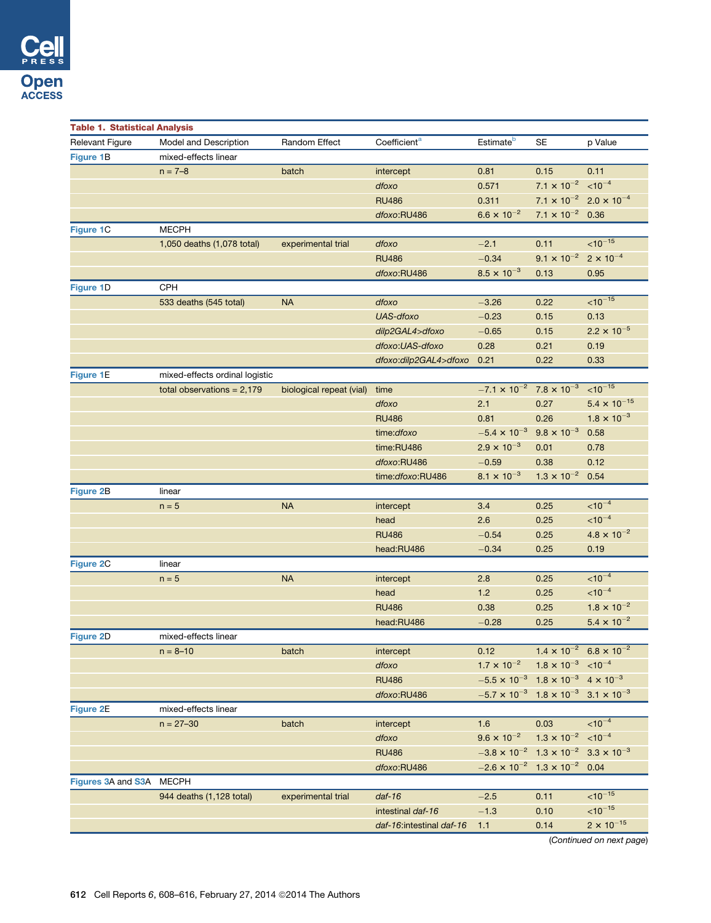<span id="page-4-0"></span>

| <b>Table 1. Statistical Analysis</b> |                                |                          |                          |                                                                 |                                                  |                       |  |  |  |
|--------------------------------------|--------------------------------|--------------------------|--------------------------|-----------------------------------------------------------------|--------------------------------------------------|-----------------------|--|--|--|
| <b>Relevant Figure</b>               | Model and Description          | Random Effect            | Coefficient <sup>a</sup> | Estimate <sup>b</sup>                                           | <b>SE</b>                                        | p Value               |  |  |  |
| <b>Figure 1B</b>                     | mixed-effects linear           |                          |                          |                                                                 |                                                  |                       |  |  |  |
|                                      | $n = 7 - 8$                    | batch                    | intercept                | 0.81                                                            | 0.15                                             | 0.11                  |  |  |  |
|                                      |                                |                          | dfoxo                    | 0.571                                                           | 7.1 $\times$ 10 <sup>-2</sup> < 10 <sup>-4</sup> |                       |  |  |  |
|                                      |                                |                          | <b>RU486</b>             | 0.311                                                           | $7.1 \times 10^{-2}$ 2.0 $\times 10^{-4}$        |                       |  |  |  |
|                                      |                                |                          | dfoxo:RU486              | $6.6 \times 10^{-2}$                                            | $7.1 \times 10^{-2}$ 0.36                        |                       |  |  |  |
| Figure 1C                            | <b>MECPH</b>                   |                          |                          |                                                                 |                                                  |                       |  |  |  |
|                                      | 1,050 deaths (1,078 total)     | experimental trial       | dfoxo                    | $-2.1$                                                          | 0.11                                             | $< 10^{-15}$          |  |  |  |
|                                      |                                |                          | <b>RU486</b>             | $-0.34$                                                         | $9.1 \times 10^{-2}$                             | $2 \times 10^{-4}$    |  |  |  |
|                                      |                                |                          | dfoxo:RU486              | $8.5 \times 10^{-3}$                                            | 0.13                                             | 0.95                  |  |  |  |
| Figure 1D                            | CPH                            |                          |                          |                                                                 |                                                  |                       |  |  |  |
|                                      | 533 deaths (545 total)         | <b>NA</b>                | dfoxo                    | $-3.26$                                                         | 0.22                                             | $< 10^{-15}$          |  |  |  |
|                                      |                                |                          | UAS-dfoxo                | $-0.23$                                                         | 0.15                                             | 0.13                  |  |  |  |
|                                      |                                |                          | dilp2GAL4>dfoxo          | $-0.65$                                                         | 0.15                                             | $2.2 \times 10^{-5}$  |  |  |  |
|                                      |                                |                          | dfoxo:UAS-dfoxo          | 0.28                                                            | 0.21                                             | 0.19                  |  |  |  |
|                                      |                                |                          | dfoxo:dilp2GAL4>dfoxo    | 0.21                                                            | 0.22                                             | 0.33                  |  |  |  |
| <b>Figure 1E</b>                     | mixed-effects ordinal logistic |                          |                          |                                                                 |                                                  |                       |  |  |  |
|                                      | total observations = $2,179$   | biological repeat (vial) | time                     | $-7.1 \times 10^{-2}$ 7.8 $\times 10^{-3}$                      |                                                  | $< 10^{-15}$          |  |  |  |
|                                      |                                |                          | dfoxo                    | 2.1                                                             | 0.27                                             | $5.4 \times 10^{-15}$ |  |  |  |
|                                      |                                |                          | <b>RU486</b>             | 0.81                                                            | 0.26                                             | $1.8 \times 10^{-3}$  |  |  |  |
|                                      |                                |                          | time:dfoxo               | $-5.4 \times 10^{-3}$                                           | $9.8 \times 10^{-3}$                             | 0.58                  |  |  |  |
|                                      |                                |                          | time:RU486               | $2.9 \times 10^{-3}$                                            | 0.01                                             | 0.78                  |  |  |  |
|                                      |                                |                          | dfoxo:RU486              | $-0.59$                                                         | 0.38                                             | 0.12                  |  |  |  |
|                                      |                                |                          | time:dfoxo:RU486         | $8.1 \times 10^{-3}$                                            | $1.3 \times 10^{-2}$                             | 0.54                  |  |  |  |
| Figure 2B                            | linear                         |                          |                          |                                                                 |                                                  |                       |  |  |  |
|                                      | $n = 5$                        | <b>NA</b>                | intercept                | 3.4                                                             | 0.25                                             | $< 10^{-4}$           |  |  |  |
|                                      |                                |                          | head                     | 2.6                                                             | 0.25                                             | $< 10^{-4}$           |  |  |  |
|                                      |                                |                          | <b>RU486</b>             | $-0.54$                                                         | 0.25                                             | $4.8 \times 10^{-2}$  |  |  |  |
|                                      |                                |                          | head:RU486               | $-0.34$                                                         | 0.25                                             | 0.19                  |  |  |  |
| Figure 2C                            | linear                         |                          |                          |                                                                 |                                                  |                       |  |  |  |
|                                      | $n = 5$                        | <b>NA</b>                | intercept                | 2.8                                                             | 0.25                                             | $< 10^{-4}$           |  |  |  |
|                                      |                                |                          | head                     | 1.2                                                             | 0.25                                             | $< 10^{-4}$           |  |  |  |
|                                      |                                |                          | <b>RU486</b>             | 0.38                                                            | 0.25                                             | $1.8 \times 10^{-2}$  |  |  |  |
|                                      |                                |                          | head:RU486               | $-0.28$                                                         | 0.25                                             | $5.4 \times 10^{-2}$  |  |  |  |
| Figure 2D                            | mixed-effects linear           |                          |                          |                                                                 |                                                  |                       |  |  |  |
|                                      | $n = 8 - 10$                   | batch                    | intercept                | 0.12                                                            | $1.4 \times 10^{-2}$ 6.8 $\times 10^{-2}$        |                       |  |  |  |
|                                      |                                |                          | dfoxo                    | $1.7 \times 10^{-2}$                                            | $1.8 \times 10^{-3}$ < 10 <sup>-4</sup>          |                       |  |  |  |
|                                      |                                |                          | <b>RU486</b>             | $-5.5 \times 10^{-3}$ 1.8 $\times 10^{-3}$ 4 $\times 10^{-3}$   |                                                  |                       |  |  |  |
|                                      |                                |                          | dfoxo:RU486              | $-5.7 \times 10^{-3}$ 1.8 $\times 10^{-3}$ 3.1 $\times 10^{-3}$ |                                                  |                       |  |  |  |
| Figure 2E                            | mixed-effects linear           |                          |                          |                                                                 |                                                  |                       |  |  |  |
|                                      | $n = 27 - 30$                  | batch                    | intercept                | 1.6                                                             | 0.03                                             | $< 10^{-4}$           |  |  |  |
|                                      |                                |                          | dfoxo                    | $9.6 \times 10^{-2}$                                            | $1.3 \times 10^{-2}$ < 10 <sup>-4</sup>          |                       |  |  |  |
|                                      |                                |                          | <b>RU486</b>             | $-3.8 \times 10^{-2}$ 1.3 $\times 10^{-2}$ 3.3 $\times 10^{-3}$ |                                                  |                       |  |  |  |
|                                      |                                |                          | dfoxo:RU486              | $-2.6 \times 10^{-2}$ 1.3 $\times 10^{-2}$ 0.04                 |                                                  |                       |  |  |  |
| Figures 3A and S3A MECPH             |                                |                          |                          |                                                                 |                                                  |                       |  |  |  |
|                                      | 944 deaths (1,128 total)       | experimental trial       | $daf-16$                 | $-2.5$                                                          | 0.11                                             | $10^{-15}$            |  |  |  |
|                                      |                                |                          | intestinal daf-16        | $-1.3$                                                          | 0.10                                             | $< 10^{-15}$          |  |  |  |
|                                      |                                |                          | daf-16:intestinal daf-16 | 1.1                                                             | 0.14                                             | $2 \times 10^{-15}$   |  |  |  |
|                                      |                                |                          |                          |                                                                 |                                                  |                       |  |  |  |

(*Continued on next page*)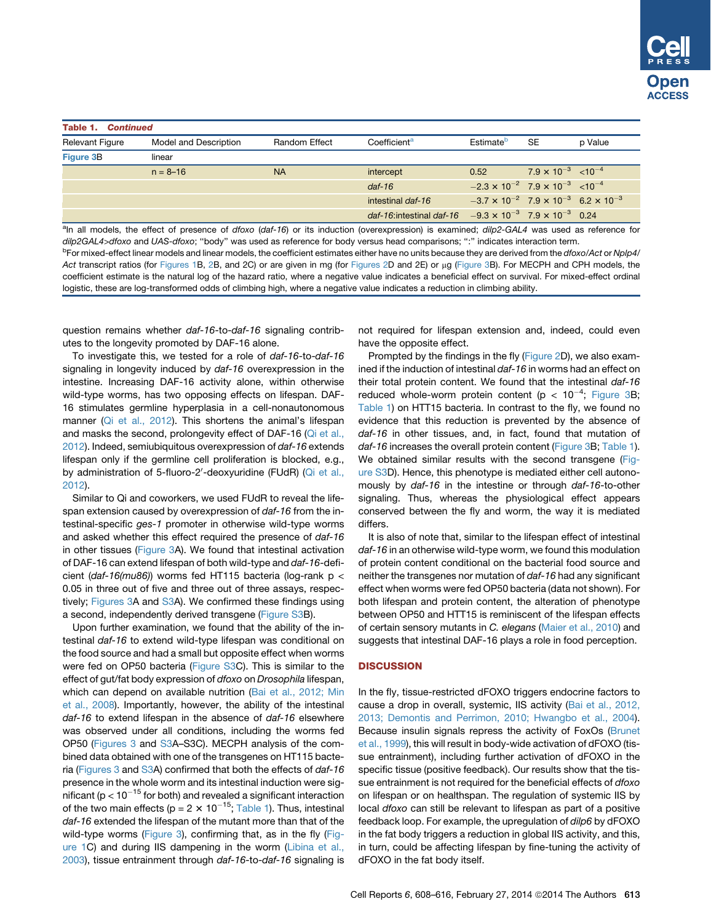<span id="page-5-0"></span>

| <b>Table 1. Continued</b> |                       |                      |                                                                           |                                                                 |                                         |         |  |  |  |  |
|---------------------------|-----------------------|----------------------|---------------------------------------------------------------------------|-----------------------------------------------------------------|-----------------------------------------|---------|--|--|--|--|
| <b>Relevant Figure</b>    | Model and Description | <b>Random Effect</b> | Coefficient <sup>a</sup>                                                  | <b>Estimate<sup>p</sup></b>                                     | <b>SE</b>                               | p Value |  |  |  |  |
| <b>Figure 3B</b>          | linear                |                      |                                                                           |                                                                 |                                         |         |  |  |  |  |
|                           | $n = 8 - 16$          | <b>NA</b>            | intercept                                                                 | 0.52                                                            | $7.9 \times 10^{-3}$ < 10 <sup>-4</sup> |         |  |  |  |  |
|                           |                       |                      | $daf-16$                                                                  | $-2.3 \times 10^{-2}$ 7.9 $\times 10^{-3}$ < 10 <sup>-4</sup>   |                                         |         |  |  |  |  |
|                           |                       |                      | intestinal daf-16                                                         | $-3.7 \times 10^{-2}$ 7.9 $\times 10^{-3}$ 6.2 $\times 10^{-3}$ |                                         |         |  |  |  |  |
|                           |                       |                      | daf-16: intestinal daf-16 $-9.3 \times 10^{-3}$ 7.9 $\times 10^{-3}$ 0.24 |                                                                 |                                         |         |  |  |  |  |

a In all models, the effect of presence of *dfoxo* (*daf-16*) or its induction (overexpression) is examined; *dilp2-GAL4* was used as reference for *dilp2GAL4>dfoxo* and *UAS-dfoxo*; ''body'' was used as reference for body versus head comparisons; '':'' indicates interaction term. b For mixed-effect linear models and linear models, the coefficient estimates either have no units because they are derived from the *dfoxo*/*Act* or *Nplp4*/ *Act* transcript ratios (for [Figures 1](#page-2-0)B, [2](#page-6-0)B, and 2C) or are given in mg (for [Figures 2](#page-6-0)D and 2E) or mg ([Figure 3B](#page-7-0)). For MECPH and CPH models, the coefficient estimate is the natural log of the hazard ratio, where a negative value indicates a beneficial effect on survival. For mixed-effect ordinal logistic, these are log-transformed odds of climbing high, where a negative value indicates a reduction in climbing ability.

question remains whether *daf-16*-to-*daf-16* signaling contributes to the longevity promoted by DAF-16 alone.

To investigate this, we tested for a role of *daf-16*-to-*daf-16* signaling in longevity induced by *daf-16* overexpression in the intestine. Increasing DAF-16 activity alone, within otherwise wild-type worms, has two opposing effects on lifespan. DAF-16 stimulates germline hyperplasia in a cell-nonautonomous manner [\(Qi et al., 2012\)](#page-8-0). This shortens the animal's lifespan and masks the second, prolongevity effect of DAF-16 ([Qi et al.,](#page-8-0) [2012\)](#page-8-0). Indeed, semiubiquitous overexpression of *daf-16* extends lifespan only if the germline cell proliferation is blocked, e.g., by administration of 5-fluoro-2'-deoxyuridine (FUdR) [\(Qi et al.,](#page-8-0) [2012\)](#page-8-0).

Similar to Qi and coworkers, we used FUdR to reveal the lifespan extension caused by overexpression of *daf-16* from the intestinal-specific *ges-1* promoter in otherwise wild-type worms and asked whether this effect required the presence of *daf-16* in other tissues ([Figure 3](#page-7-0)A). We found that intestinal activation of DAF-16 can extend lifespan of both wild-type and *daf-16*-deficient (*daf-16(mu86)*) worms fed HT115 bacteria (log-rank p < 0.05 in three out of five and three out of three assays, respectively; [Figures 3A](#page-7-0) and [S3A](#page-7-0)). We confirmed these findings using a second, independently derived transgene [\(Figure S3B](#page-7-0)).

Upon further examination, we found that the ability of the intestinal *daf-16* to extend wild-type lifespan was conditional on the food source and had a small but opposite effect when worms were fed on OP50 bacteria [\(Figure S3](#page-7-0)C). This is similar to the effect of gut/fat body expression of *dfoxo* on *Drosophila* lifespan, which can depend on available nutrition [\(Bai et al., 2012; Min](#page-8-0) [et al., 2008](#page-8-0)). Importantly, however, the ability of the intestinal *daf-16* to extend lifespan in the absence of *daf-16* elsewhere was observed under all conditions, including the worms fed OP50 ([Figures 3](#page-7-0) and [S3](#page-7-0)A–S3C). MECPH analysis of the combined data obtained with one of the transgenes on HT115 bacteria ([Figures 3](#page-7-0) and [S3](#page-7-0)A) confirmed that both the effects of *daf-16* presence in the whole worm and its intestinal induction were significant ( $p < 10^{-15}$  for both) and revealed a significant interaction of the two main effects ( $p = 2 \times 10^{-15}$ ; [Table 1\)](#page-4-0). Thus, intestinal *daf-16* extended the lifespan of the mutant more than that of the wild-type worms ([Figure 3](#page-7-0)), confirming that, as in the fly [\(Fig](#page-2-0)[ure 1C](#page-2-0)) and during IIS dampening in the worm ([Libina et al.,](#page-8-0) [2003\)](#page-8-0), tissue entrainment through *daf-16*-to-*daf-16* signaling is not required for lifespan extension and, indeed, could even have the opposite effect.

Prompted by the findings in the fly [\(Figure 2D](#page-6-0)), we also examined if the induction of intestinal *daf-16* in worms had an effect on their total protein content. We found that the intestinal *daf-16* reduced whole-worm protein content (p <  $10^{-4}$ ; [Figure 3](#page-7-0)B; [Table 1\)](#page-4-0) on HTT15 bacteria. In contrast to the fly, we found no evidence that this reduction is prevented by the absence of *daf-16* in other tissues, and, in fact, found that mutation of *daf-16* increases the overall protein content ([Figure 3B](#page-7-0); [Table 1\)](#page-4-0). We obtained similar results with the second transgene [\(Fig](#page-7-0)[ure S3D](#page-7-0)). Hence, this phenotype is mediated either cell autonomously by *daf-16* in the intestine or through *daf-16*-to-other signaling. Thus, whereas the physiological effect appears conserved between the fly and worm, the way it is mediated differs.

It is also of note that, similar to the lifespan effect of intestinal *daf-16* in an otherwise wild-type worm, we found this modulation of protein content conditional on the bacterial food source and neither the transgenes nor mutation of *daf-16* had any significant effect when worms were fed OP50 bacteria (data not shown). For both lifespan and protein content, the alteration of phenotype between OP50 and HTT15 is reminiscent of the lifespan effects of certain sensory mutants in *C. elegans* [\(Maier et al., 2010\)](#page-8-0) and suggests that intestinal DAF-16 plays a role in food perception.

## **DISCUSSION**

In the fly, tissue-restricted dFOXO triggers endocrine factors to cause a drop in overall, systemic, IIS activity [\(Bai et al., 2012,](#page-8-0) [2013; Demontis and Perrimon, 2010; Hwangbo et al., 2004\)](#page-8-0). Because insulin signals repress the activity of FoxOs [\(Brunet](#page-8-0) [et al., 1999\)](#page-8-0), this will result in body-wide activation of dFOXO (tissue entrainment), including further activation of dFOXO in the specific tissue (positive feedback). Our results show that the tissue entrainment is not required for the beneficial effects of *dfoxo* on lifespan or on healthspan. The regulation of systemic IIS by local *dfoxo* can still be relevant to lifespan as part of a positive feedback loop. For example, the upregulation of *dilp6* by dFOXO in the fat body triggers a reduction in global IIS activity, and this, in turn, could be affecting lifespan by fine-tuning the activity of dFOXO in the fat body itself.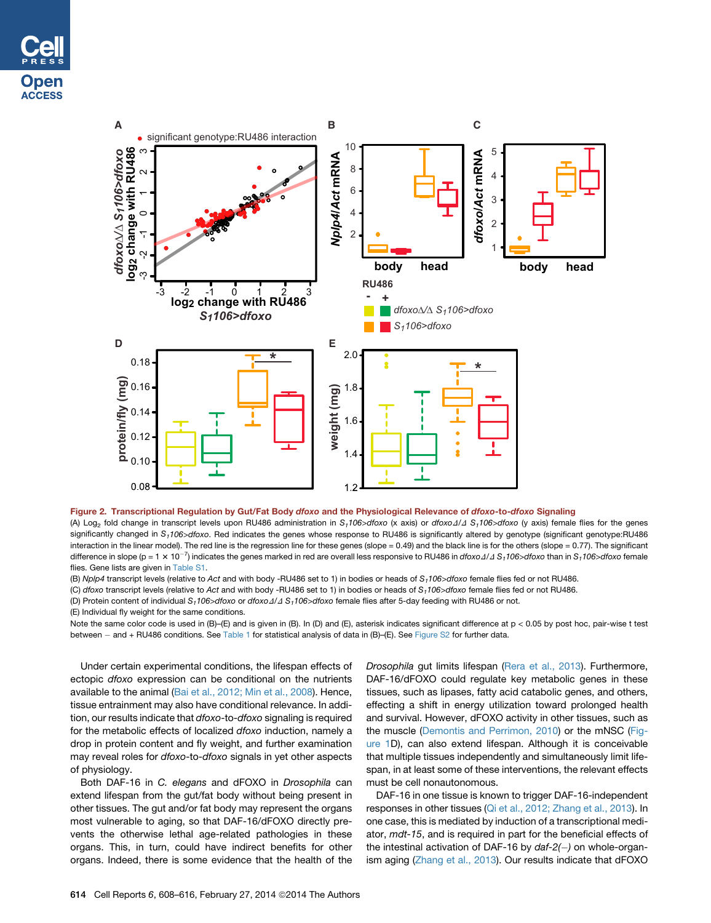<span id="page-6-0"></span>



## Figure 2. Transcriptional Regulation by Gut/Fat Body dfoxo and the Physiological Relevance of dfoxo-to-dfoxo Signaling

(A) Log<sub>2</sub> fold change in transcript levels upon RU486 administration in  $S_1106$   $\geq$  dfoxo (x axis) or *dfoxo*  $\triangleleft$  /  $\triangleleft$   $\triangleleft$   $\triangleleft$  for  $\triangleleft$  female flies for the genes significantly changed in S<sub>1</sub>106>dfoxo. Red indicates the genes whose response to RU486 is significantly altered by genotype (significant genotype:RU486 interaction in the linear model). The red line is the regression line for these genes (slope = 0.49) and the black line is for the others (slope = 0.77). The significant difference in slope (p = 1 × 10<sup>-7</sup>) indicates the genes marked in red are overall less responsive to RU486 in *dfoxo* 1/1 S<sub>1</sub>106>dfoxo than in S<sub>1</sub>106>dfoxo female flies. Gene lists are given in Table S1.

(B) *Nplp4* transcript levels (relative to *Act* and with body -RU486 set to 1) in bodies or heads of *S1106>dfoxo* female flies fed or not RU486.

(C) *dfoxo* transcript levels (relative to *Act* and with body -RU486 set to 1) in bodies or heads of *S1106>dfoxo* female flies fed or not RU486.

(D) Protein content of individual S<sub>1</sub>106>dfoxo or dfoxo  $\Delta/\Delta$  S<sub>1</sub>106>dfoxo female flies after 5-day feeding with RU486 or not.

(E) Individual fly weight for the same conditions.

Note the same color code is used in (B)–(E) and is given in (B). In (D) and (E), asterisk indicates significant difference at p < 0.05 by post hoc, pair-wise t test between - and + RU486 conditions. See [Table 1](#page-4-0) for statistical analysis of data in (B)–(E). See [Figure S2](#page-7-0) for further data.

Under certain experimental conditions, the lifespan effects of ectopic *dfoxo* expression can be conditional on the nutrients available to the animal ([Bai et al., 2012; Min et al., 2008](#page-8-0)). Hence, tissue entrainment may also have conditional relevance. In addition, our results indicate that *dfoxo*-to-*dfoxo* signaling is required for the metabolic effects of localized *dfoxo* induction, namely a drop in protein content and fly weight, and further examination may reveal roles for *dfoxo*-to-*dfoxo* signals in yet other aspects of physiology.

Both DAF-16 in *C. elegans* and dFOXO in *Drosophila* can extend lifespan from the gut/fat body without being present in other tissues. The gut and/or fat body may represent the organs most vulnerable to aging, so that DAF-16/dFOXO directly prevents the otherwise lethal age-related pathologies in these organs. This, in turn, could have indirect benefits for other organs. Indeed, there is some evidence that the health of the *Drosophila* gut limits lifespan [\(Rera et al., 2013](#page-8-0)). Furthermore, DAF-16/dFOXO could regulate key metabolic genes in these tissues, such as lipases, fatty acid catabolic genes, and others, effecting a shift in energy utilization toward prolonged health and survival. However, dFOXO activity in other tissues, such as the muscle [\(Demontis and Perrimon, 2010\)](#page-8-0) or the mNSC [\(Fig](#page-2-0)[ure 1](#page-2-0)D), can also extend lifespan. Although it is conceivable that multiple tissues independently and simultaneously limit lifespan, in at least some of these interventions, the relevant effects must be cell nonautonomous.

DAF-16 in one tissue is known to trigger DAF-16-independent responses in other tissues [\(Qi et al., 2012; Zhang et al., 2013](#page-8-0)). In one case, this is mediated by induction of a transcriptional mediator, *mdt-15*, and is required in part for the beneficial effects of the intestinal activation of DAF-16 by *daf-2()* on whole-organism aging [\(Zhang et al., 2013](#page-8-0)). Our results indicate that dFOXO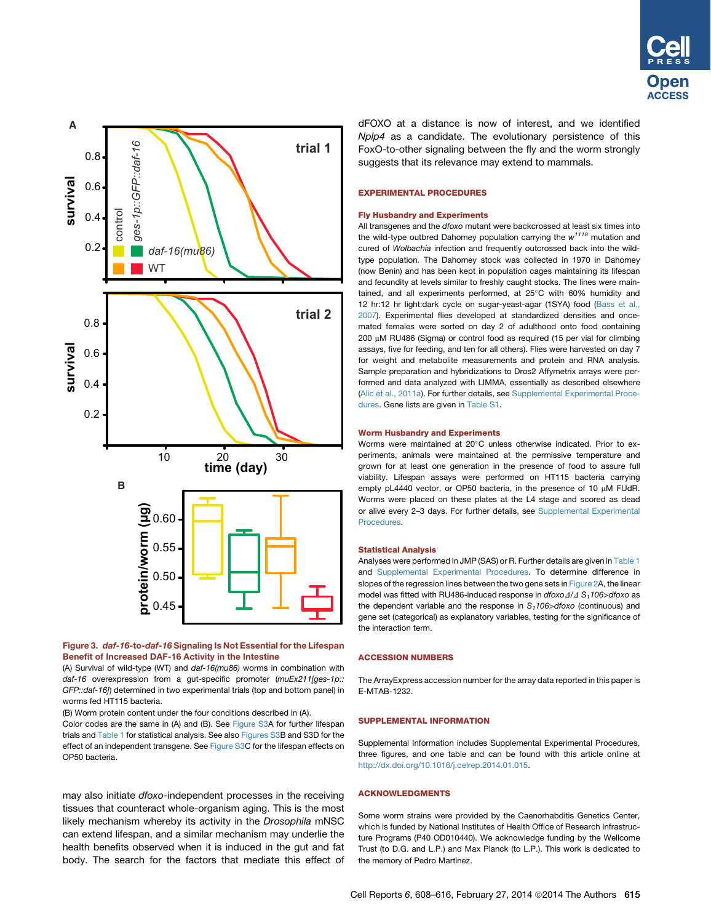<span id="page-7-0"></span>

## Figure 3. daf-16-to-daf-16 Signaling Is Not Essential for the Lifespan Benefit of Increased DAF-16 Activity in the Intestine

(A) Survival of wild-type (WT) and *daf-16(mu86)* worms in combination with *daf-16* overexpression from a gut-specific promoter (*muEx211[ges-1p:: GFP::daf-16]*) determined in two experimental trials (top and bottom panel) in worms fed HT115 bacteria.

(B) Worm protein content under the four conditions described in (A).

Color codes are the same in (A) and (B). See Figure S3A for further lifespan trials and [Table 1](#page-4-0) for statistical analysis. See also Figures S3B and S3D for the effect of an independent transgene. See Figure S3C for the lifespan effects on OP50 bacteria.

may also initiate *dfoxo*-independent processes in the receiving tissues that counteract whole-organism aging. This is the most likely mechanism whereby its activity in the *Drosophila* mNSC can extend lifespan, and a similar mechanism may underlie the health benefits observed when it is induced in the gut and fat body. The search for the factors that mediate this effect of dFOXO at a distance is now of interest, and we identified *Nplp4* as a candidate. The evolutionary persistence of this FoxO-to-other signaling between the fly and the worm strongly suggests that its relevance may extend to mammals.

#### EXPERIMENTAL PROCEDURES

#### Fly Husbandry and Experiments

All transgenes and the *dfoxo* mutant were backcrossed at least six times into the wild-type outbred Dahomey population carrying the *w1118* mutation and cured of *Wolbachia* infection and frequently outcrossed back into the wildtype population. The Dahomey stock was collected in 1970 in Dahomey (now Benin) and has been kept in population cages maintaining its lifespan and fecundity at levels similar to freshly caught stocks. The lines were maintained, and all experiments performed, at 25°C with 60% humidity and 12 hr:12 hr light:dark cycle on sugar-yeast-agar (1SYA) food [\(Bass et al.,](#page-8-0) [2007\)](#page-8-0). Experimental flies developed at standardized densities and oncemated females were sorted on day 2 of adulthood onto food containing 200 µM RU486 (Sigma) or control food as required (15 per vial for climbing assays, five for feeding, and ten for all others). Flies were harvested on day 7 for weight and metabolite measurements and protein and RNA analysis. Sample preparation and hybridizations to Dros2 Affymetrix arrays were performed and data analyzed with LIMMA, essentially as described elsewhere ([Alic et al., 2011a](#page-8-0)). For further details, see Supplemental Experimental Procedures. Gene lists are given in Table S1.

#### Worm Husbandry and Experiments

Worms were maintained at 20°C unless otherwise indicated. Prior to experiments, animals were maintained at the permissive temperature and grown for at least one generation in the presence of food to assure full viability. Lifespan assays were performed on HT115 bacteria carrying empty pL4440 vector, or OP50 bacteria, in the presence of 10  $\mu$ M FUdR. Worms were placed on these plates at the L4 stage and scored as dead or alive every 2–3 days. For further details, see Supplemental Experimental Procedures.

#### Statistical Analysis

Analyses were performed in JMP (SAS) or R. Further details are given in [Table 1](#page-4-0) and [Supplemental Experimental Procedures.](#page-2-0) To determine difference in slopes of the regression lines between the two gene sets in [Figure 2A](#page-6-0), the linear model was fitted with RU486-induced response in *dfoxo* $\Delta/\Delta$  S<sub>1</sub>106>dfoxo as the dependent variable and the response in  $S_1$ 106>dfoxo (continuous) and gene set (categorical) as explanatory variables, testing for the significance of the interaction term.

#### ACCESSION NUMBERS

The ArrayExpress accession number for the array data reported in this paper is E-MTAB-1232.

## SUPPLEMENTAL INFORMATION

Supplemental Information includes Supplemental Experimental Procedures, three figures, and one table and can be found with this article online at <http://dx.doi.org/10.1016/j.celrep.2014.01.015>.

## ACKNOWLEDGMENTS

Some worm strains were provided by the Caenorhabditis Genetics Center, which is funded by National Institutes of Health Office of Research Infrastructure Programs (P40 OD010440). We acknowledge funding by the Wellcome Trust (to D.G. and L.P.) and Max Planck (to L.P.). This work is dedicated to the memory of Pedro Martinez.